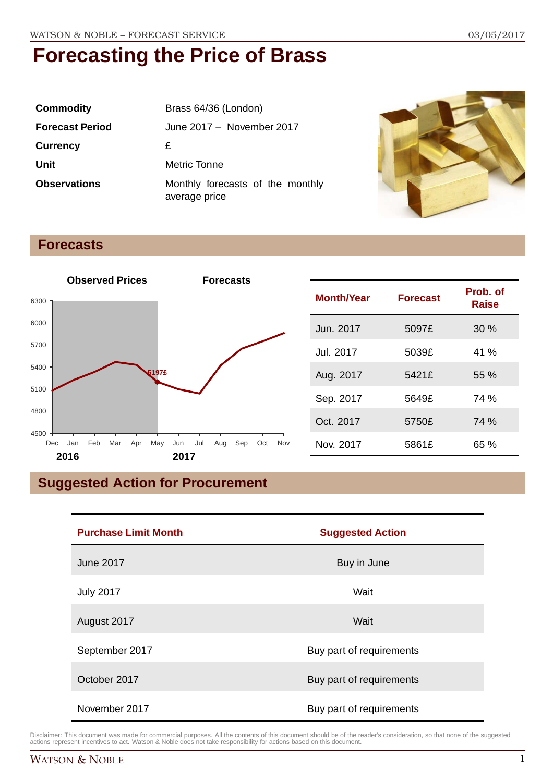| <b>Commodity</b>       | Brass 64/36 (London)                              |
|------------------------|---------------------------------------------------|
| <b>Forecast Period</b> | June 2017 - November 2017                         |
| <b>Currency</b>        | £                                                 |
| Unit                   | Metric Tonne                                      |
| <b>Observations</b>    | Monthly forecasts of the monthly<br>average price |



**Raise**

### **Forecasts**



## **Suggested Action for Procurement**

| <b>Purchase Limit Month</b> | <b>Suggested Action</b>  |
|-----------------------------|--------------------------|
| <b>June 2017</b>            | Buy in June              |
| <b>July 2017</b>            | Wait                     |
| August 2017                 | Wait                     |
| September 2017              | Buy part of requirements |
| October 2017                | Buy part of requirements |
| November 2017               | Buy part of requirements |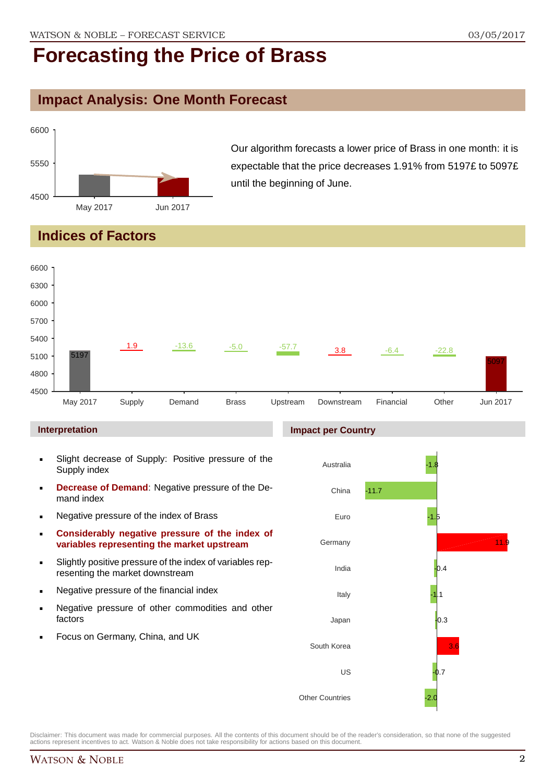### **Impact Analysis: One Month Forecast**



Our algorithm forecasts a lower price of Brass in one month: it is expectable that the price decreases 1.91% from 5197£ to 5097£ until the beginning of June.

### **Indices of Factors**



#### **Interpretation**

- Slight decrease of Supply: Positive pressure of the Supply index
- **Decrease of Demand**: Negative pressure of the Demand index
- **Negative pressure of the index of Brass**
- **Considerably negative pressure of the index of variables representing the market upstream**
- Slightly positive pressure of the index of variables representing the market downstream
- **Negative pressure of the financial index**
- **Negative pressure of other commodities and other** factors
- Focus on Germany, China, and UK

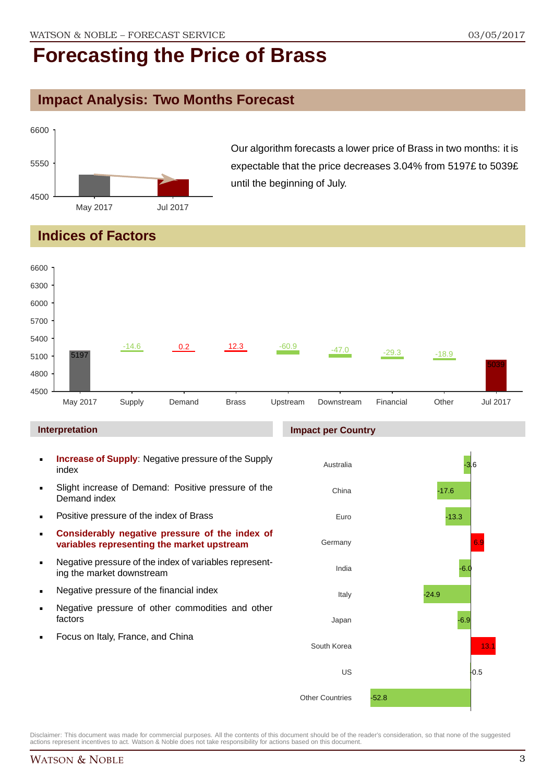### **Impact Analysis: Two Months Forecast**



Our algorithm forecasts a lower price of Brass in two months: it is expectable that the price decreases 3.04% from 5197£ to 5039£ until the beginning of July.

### **Indices of Factors**

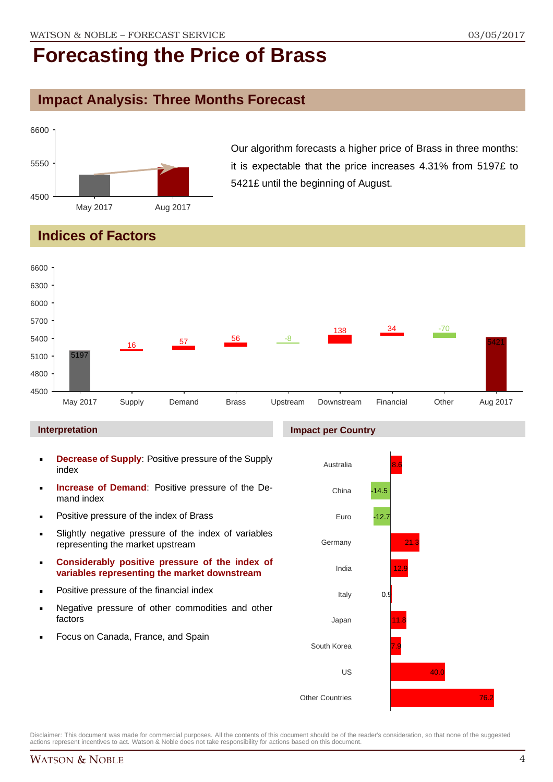### **Impact Analysis: Three Months Forecast**



Our algorithm forecasts a higher price of Brass in three months: it is expectable that the price increases 4.31% from 5197£ to 5421£ until the beginning of August.

### **Indices of Factors**



#### **Interpretation**

- **Decrease of Supply**: Positive pressure of the Supply index
- **Increase of Demand**: Positive pressure of the Demand index
- **Positive pressure of the index of Brass**
- Slightly negative pressure of the index of variables representing the market upstream
- **Considerably positive pressure of the index of variables representing the market downstream**
- **•** Positive pressure of the financial index
- **Negative pressure of other commodities and other** factors
- Focus on Canada, France, and Spain

#### **Impact per Country**

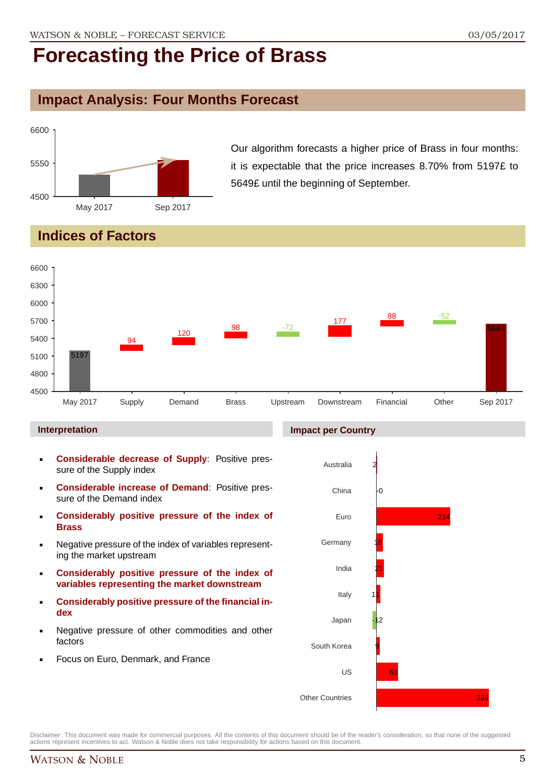### **Impact Analysis: Four Months Forecast**



Our algorithm forecasts a higher price of Brass in four months: it is expectable that the price increases 8.70% from 5197£ to 5649£ until the beginning of September.

### **Indices of Factors**



#### **Interpretation**

- **Considerable decrease of Supply**: Positive pressure of the Supply index
- **Considerable increase of Demand**: Positive pressure of the Demand index
- **Considerably positive pressure of the index of Brass**
- Negative pressure of the index of variables representing the market upstream
- **Considerably positive pressure of the index of variables representing the market downstream**
- **Considerably positive pressure of the financial index**
- Negative pressure of other commodities and other factors
- Focus on Euro, Denmark, and France

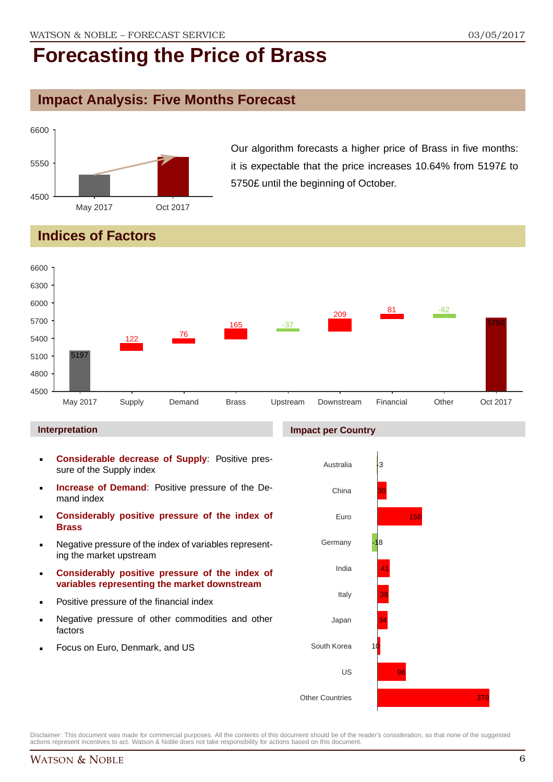### **Impact Analysis: Five Months Forecast**



Our algorithm forecasts a higher price of Brass in five months: it is expectable that the price increases 10.64% from 5197£ to 5750£ until the beginning of October.

## **Indices of Factors**



#### **Interpretation**

- **Considerable decrease of Supply**: Positive pressure of the Supply index
- **Increase of Demand**: Positive pressure of the Demand index
- **Considerably positive pressure of the index of Brass**
- Negative pressure of the index of variables representing the market upstream
- **Considerably positive pressure of the index of variables representing the market downstream**
- Positive pressure of the financial index
- Negative pressure of other commodities and other factors
- Focus on Euro, Denmark, and US

#### **Impact per Country**



Disclaimer: This document was made for commercial purposes. All the contents of this document should be of the reader's consideration, so that none of the suggested actions represent incentives to act. Watson & Noble does not take responsibility for actions based on this document.

378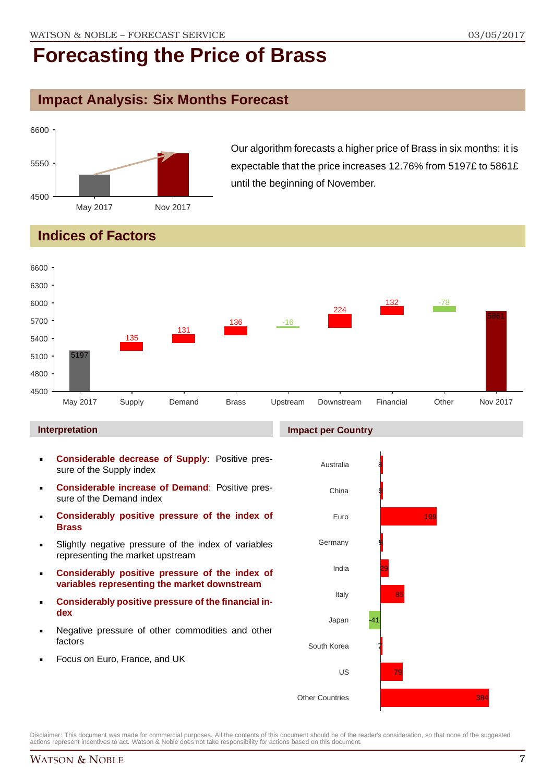### **Impact Analysis: Six Months Forecast**



Our algorithm forecasts a higher price of Brass in six months: it is expectable that the price increases 12.76% from 5197£ to 5861£ until the beginning of November.

## **Indices of Factors**



#### **Interpretation**

- **Considerable decrease of Supply**: Positive pressure of the Supply index
- **Considerable increase of Demand**: Positive pressure of the Demand index
- **Considerably positive pressure of the index of Brass**
- Slightly negative pressure of the index of variables representing the market upstream
- **Considerably positive pressure of the index of variables representing the market downstream**
- **Considerably positive pressure of the financial index**
- Negative pressure of other commodities and other factors
- Focus on Euro, France, and UK



Disclaimer: This document was made for commercial purposes. All the contents of this document should be of the reader's consideration, so that none of the suggested actions represent incentives to act. Watson & Noble does not take responsibility for actions based on this document.

#### WATSON & NOBLE 7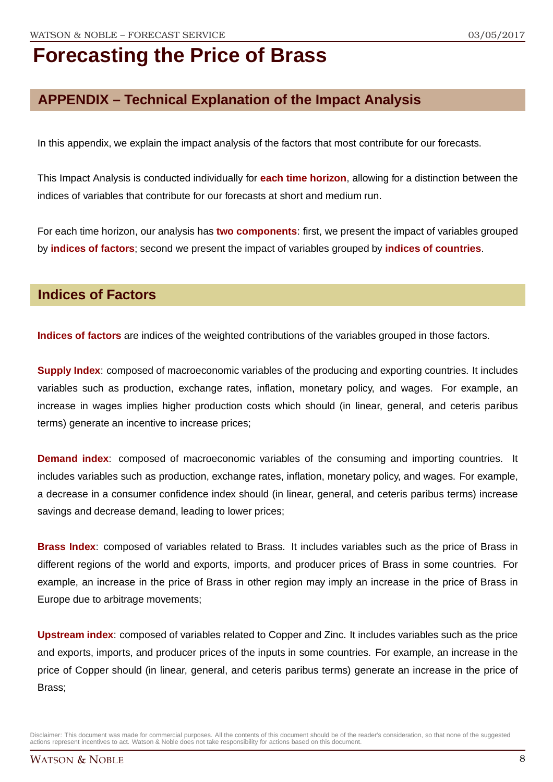## **APPENDIX – Technical Explanation of the Impact Analysis**

In this appendix, we explain the impact analysis of the factors that most contribute for our forecasts.

This Impact Analysis is conducted individually for **each time horizon**, allowing for a distinction between the indices of variables that contribute for our forecasts at short and medium run.

For each time horizon, our analysis has **two components**: first, we present the impact of variables grouped by **indices of factors**; second we present the impact of variables grouped by **indices of countries**.

### **Indices of Factors**

**Indices of factors** are indices of the weighted contributions of the variables grouped in those factors.

**Supply Index**: composed of macroeconomic variables of the producing and exporting countries. It includes variables such as production, exchange rates, inflation, monetary policy, and wages. For example, an increase in wages implies higher production costs which should (in linear, general, and ceteris paribus terms) generate an incentive to increase prices;

**Demand index**: composed of macroeconomic variables of the consuming and importing countries. It includes variables such as production, exchange rates, inflation, monetary policy, and wages. For example, a decrease in a consumer confidence index should (in linear, general, and ceteris paribus terms) increase savings and decrease demand, leading to lower prices;

**Brass Index**: composed of variables related to Brass. It includes variables such as the price of Brass in different regions of the world and exports, imports, and producer prices of Brass in some countries. For example, an increase in the price of Brass in other region may imply an increase in the price of Brass in Europe due to arbitrage movements;

**Upstream index**: composed of variables related to Copper and Zinc. It includes variables such as the price and exports, imports, and producer prices of the inputs in some countries. For example, an increase in the price of Copper should (in linear, general, and ceteris paribus terms) generate an increase in the price of Brass;